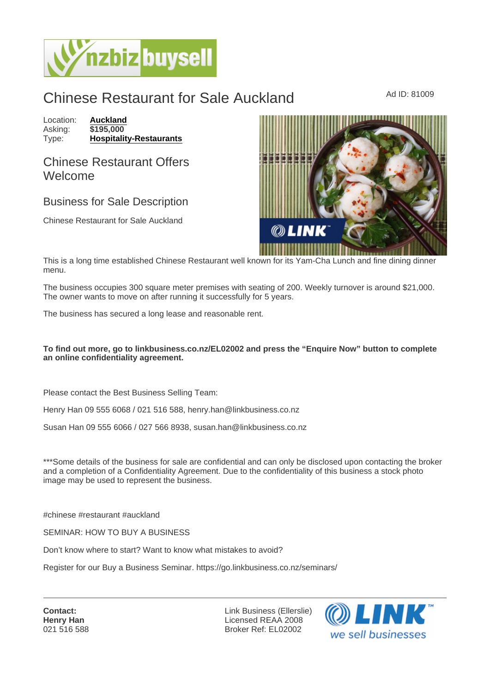## Chinese Restaurant for Sale Auckland Ad ID: 81009

Location: [Auckland](https://www.nzbizbuysell.co.nz/businesses-for-sale/location/Auckland) Asking: \$195,000<br>Type: Hospitality [Hospitality-Restaurants](https://www.nzbizbuysell.co.nz/businesses-for-sale/Restaurants/New-Zealand)

## Chinese Restaurant Offers Welcome

## Business for Sale Description

Chinese Restaurant for Sale Auckland

This is a long time established Chinese Restaurant well known for its Yam-Cha Lunch and fine dining dinner menu.

The business occupies 300 square meter premises with seating of 200. Weekly turnover is around \$21,000. The owner wants to move on after running it successfully for 5 years.

The business has secured a long lease and reasonable rent.

To find out more, go to linkbusiness.co.nz/EL02002 and press the "Enquire Now" button to complete an online confidentiality agreement.

Please contact the Best Business Selling Team:

Henry Han 09 555 6068 / 021 516 588, henry.han@linkbusiness.co.nz

Susan Han 09 555 6066 / 027 566 8938, susan.han@linkbusiness.co.nz

\*\*\*Some details of the business for sale are confidential and can only be disclosed upon contacting the broker and a completion of a Confidentiality Agreement. Due to the confidentiality of this business a stock photo image may be used to represent the business.

#chinese #restaurant #auckland

SEMINAR: HOW TO BUY A BUSINESS

Don't know where to start? Want to know what mistakes to avoid?

Register for our Buy a Business Seminar. https://go.linkbusiness.co.nz/seminars/

Contact: Henry Han 021 516 588

Link Business (Ellerslie) Licensed REAA 2008 Broker Ref: EL02002